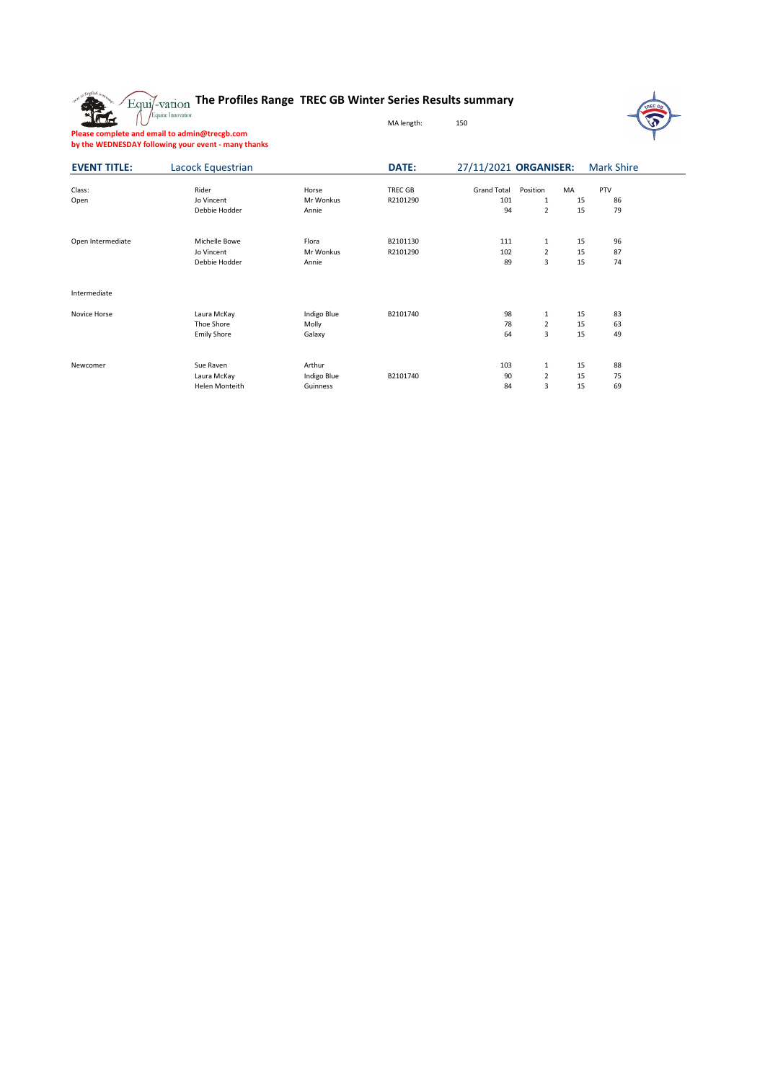## **The Profiles Range TREC GB Winter Series Results summary**



**Please complete and email to admin@trecgb.com by the WEDNESDAY following your event - many thanks**

**REG** 

| <b>EVENT TITLE:</b> | Lacock Equestrian                               |                                   | <b>DATE:</b>         | 27/11/2021 ORGANISER:           |                                                 | <b>Mark Shire</b>                 |  |
|---------------------|-------------------------------------------------|-----------------------------------|----------------------|---------------------------------|-------------------------------------------------|-----------------------------------|--|
| Class:<br>Open      | Rider<br>Jo Vincent<br>Debbie Hodder            | Horse<br>Mr Wonkus<br>Annie       | TREC GB<br>R2101290  | <b>Grand Total</b><br>101<br>94 | Position<br>1<br>$\overline{2}$                 | PTV<br>MA<br>15<br>86<br>15<br>79 |  |
| Open Intermediate   | Michelle Bowe<br>Jo Vincent<br>Debbie Hodder    | Flora<br>Mr Wonkus<br>Annie       | B2101130<br>R2101290 | 111<br>102<br>89                | 1<br>$\overline{2}$<br>3                        | 15<br>96<br>15<br>87<br>15<br>74  |  |
| Intermediate        |                                                 |                                   |                      |                                 |                                                 |                                   |  |
| Novice Horse        | Laura McKay<br>Thoe Shore<br><b>Emily Shore</b> | Indigo Blue<br>Molly<br>Galaxy    | B2101740             | 98<br>78<br>64                  | 1<br>$\overline{2}$<br>3                        | 83<br>15<br>15<br>63<br>15<br>49  |  |
| Newcomer            | Sue Raven<br>Laura McKay<br>Helen Monteith      | Arthur<br>Indigo Blue<br>Guinness | B2101740             | 103<br>90<br>84                 | $\mathbf 1$<br>$\overline{2}$<br>$\overline{3}$ | 15<br>88<br>15<br>75<br>69<br>15  |  |

MA length: 150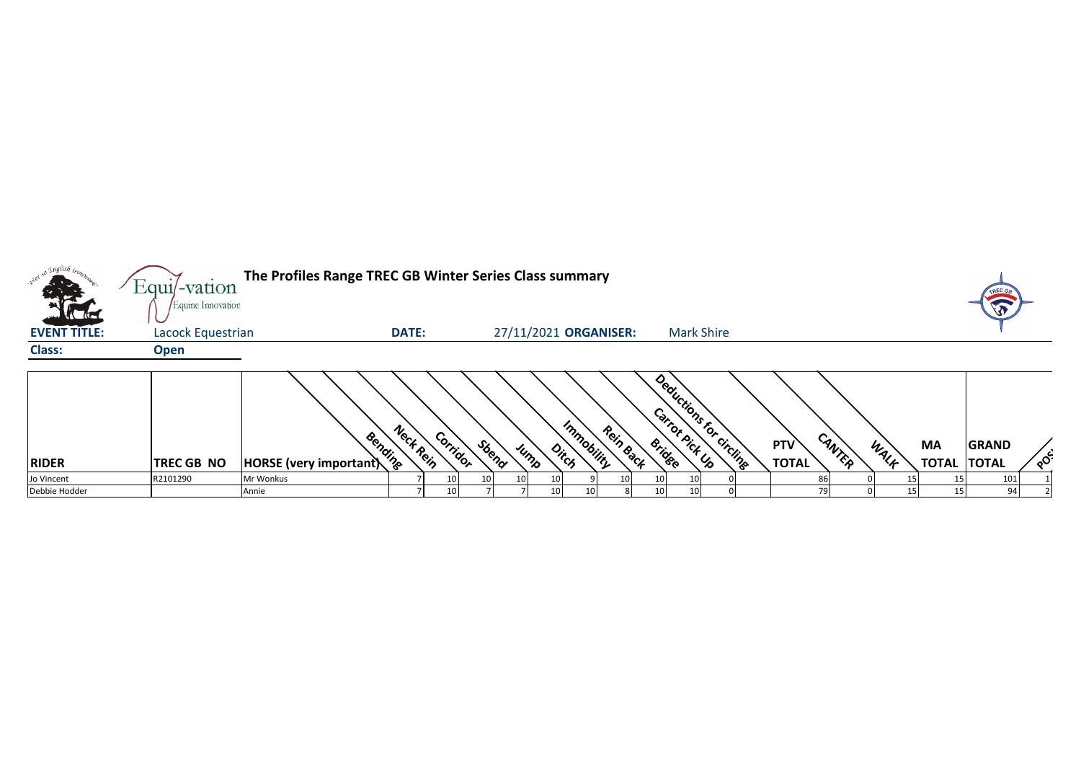| o English <sub>trop</sub><br><b>KERE</b> | $Equi$ -vation<br>Equine Innovation | The Profiles Range TREC GB Winter Series Class summary |              |          |       |    |                 |                       |           |    |                                          |  |                            |        |      |                           | TREC                         |          |
|------------------------------------------|-------------------------------------|--------------------------------------------------------|--------------|----------|-------|----|-----------------|-----------------------|-----------|----|------------------------------------------|--|----------------------------|--------|------|---------------------------|------------------------------|----------|
| <b>EVENT TITLE:</b>                      | Lacock Equestrian                   |                                                        | <b>DATE:</b> |          |       |    |                 | 27/11/2021 ORGANISER: |           |    | <b>Mark Shire</b>                        |  |                            |        |      |                           |                              |          |
| <b>Class:</b>                            | <b>Open</b>                         |                                                        |              |          |       |    |                 |                       |           |    |                                          |  |                            |        |      |                           |                              |          |
| <b>RIDER</b>                             | TREC GB NO                          | Bending<br>HORSE (very important)                      | Neck Rein    | Corridor | Sbend |    | Jump            | Immobility<br>Ditch   | Rein Back |    | Deductions for circline<br><b>Bridge</b> |  | <b>PTV</b><br><b>TOTAL</b> | CANTER | WALF | <b>MA</b><br><b>TOTAL</b> | <b>GRAND</b><br><b>TOTAL</b> | $\delta$ |
| Jo Vincent                               | R2101290                            | Mr Wonkus                                              |              |          |       | 10 | 10 <sub>l</sub> |                       | 10        |    |                                          |  |                            | 86     |      |                           | 101                          |          |
| Debbie Hodder                            |                                     | Annie                                                  |              |          |       |    | 10 <sup>1</sup> | 10                    |           | 10 | 10                                       |  |                            | 79     |      |                           | 94                           |          |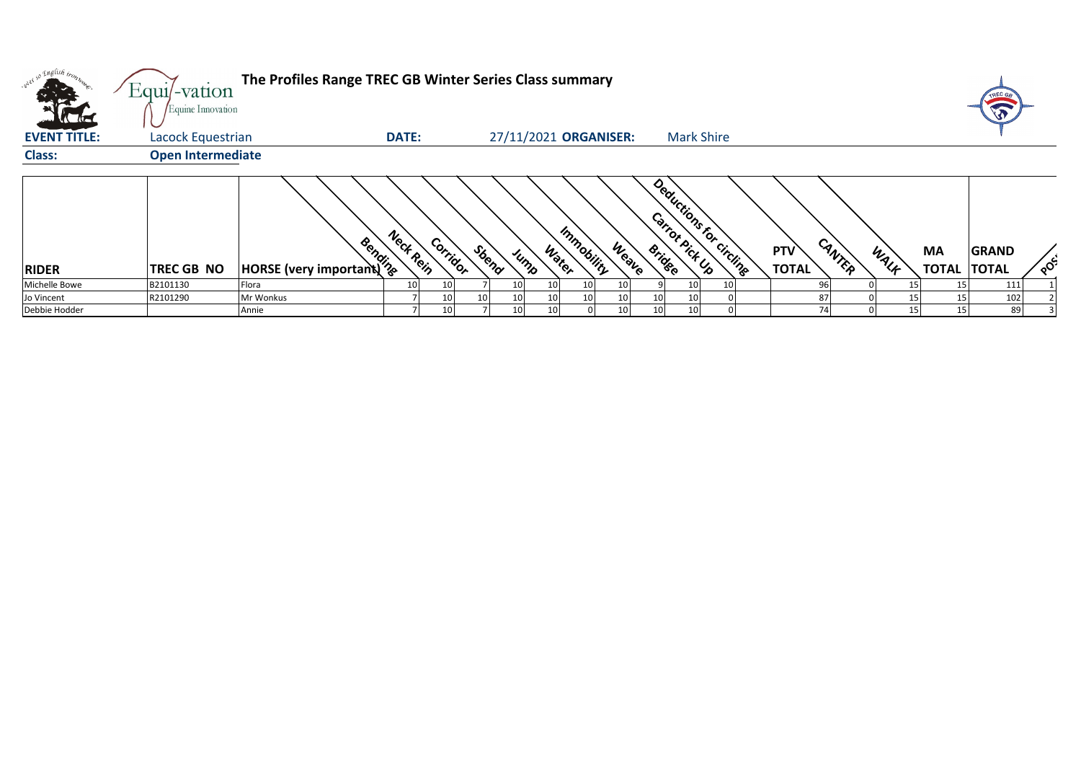| $\sqrt{10}$         | Equi/-vation<br>Equine Innovation | The Profiles Range TREC GB Winter Series Class summary                                                                                                                                                                         |              |          |       |                       |                 |                 |       |                                          |                   |  |                            |        |      |                                 | TREC GA      |                      |
|---------------------|-----------------------------------|--------------------------------------------------------------------------------------------------------------------------------------------------------------------------------------------------------------------------------|--------------|----------|-------|-----------------------|-----------------|-----------------|-------|------------------------------------------|-------------------|--|----------------------------|--------|------|---------------------------------|--------------|----------------------|
| <b>EVENT TITLE:</b> | Lacock Equestrian                 |                                                                                                                                                                                                                                | <b>DATE:</b> |          |       | 27/11/2021 ORGANISER: |                 |                 |       |                                          | <b>Mark Shire</b> |  |                            |        |      |                                 |              |                      |
| <b>Class:</b>       | <b>Open Intermediate</b>          |                                                                                                                                                                                                                                |              |          |       |                       |                 |                 |       |                                          |                   |  |                            |        |      |                                 |              |                      |
| <b>RIDER</b>        | <b>TREC GB NO</b>                 | Allegation of the Region of the Region of the Registrational Company of the Registration of the Registration of the Registration of the Registration of the Registration of the Registration of the Registration of the Regist | Neck Rein    | Corridor | Sbend | Jump                  | Water           | Immobility      | Weave | Deductions for circling<br><b>Bridge</b> |                   |  | <b>PTV</b><br><b>TOTAL</b> | CANTER | WALK | <b>MA</b><br><b>TOTAL TOTAL</b> | <b>GRAND</b> | $\circ$ <sup>C</sup> |
| Michelle Bowe       | B2101130                          | Flora                                                                                                                                                                                                                          | 10           |          |       |                       | 10 <sub>l</sub> | 10 <sub>1</sub> | 10    |                                          | 10 <sup>1</sup>   |  | 96                         |        |      |                                 | 111          |                      |
| Jo Vincent          | R2101290                          | Mr Wonkus                                                                                                                                                                                                                      |              | 10       |       |                       | 10 <sub>l</sub> | 10              | 10    | 10                                       | 10 <sup>1</sup>   |  | 87                         |        |      |                                 | 102          |                      |
| Debbie Hodder       |                                   | Annie                                                                                                                                                                                                                          |              |          |       |                       | 10 <sup>1</sup> |                 | 10    | 10                                       | 10 <sup>1</sup>   |  | 74                         |        | 15   | 15                              | 89           |                      |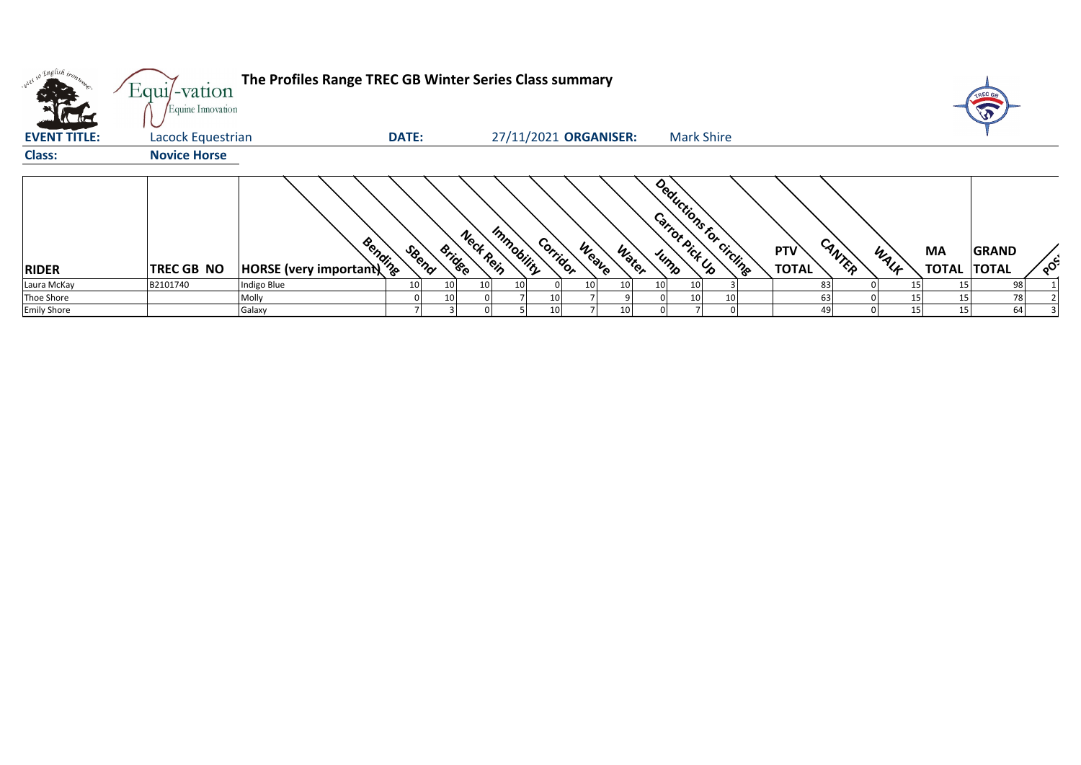|                                       | Equi/-vation<br>Equine Innovation | The Profiles Range TREC GB Winter Series Class summary |                 |                     |            |                       |                       |    |                                            |                            |        |      |                          |              |                      |
|---------------------------------------|-----------------------------------|--------------------------------------------------------|-----------------|---------------------|------------|-----------------------|-----------------------|----|--------------------------------------------|----------------------------|--------|------|--------------------------|--------------|----------------------|
| $\overline{M}$<br><b>EVENT TITLE:</b> |                                   |                                                        |                 |                     |            |                       |                       |    | <b>Mark Shire</b>                          |                            |        |      |                          |              |                      |
|                                       | Lacock Equestrian                 |                                                        | <b>DATE:</b>    |                     |            | 27/11/2021 ORGANISER: |                       |    |                                            |                            |        |      |                          |              |                      |
| <b>Class:</b>                         | <b>Novice Horse</b>               |                                                        |                 |                     |            |                       |                       |    |                                            |                            |        |      |                          |              |                      |
|                                       |                                   |                                                        |                 |                     |            |                       |                       |    |                                            |                            |        |      |                          |              |                      |
| <b>RIDER</b>                          | <b>TREC GB NO</b>                 | <b>HORSE</b> (very important)                          | SBeno           | Nect Rein<br>Bridge | Immobility | Corridor              | <b>Weave</b><br>Water |    | Deductions for circuites<br>Carrot Pick Up | <b>PTV</b><br><b>TOTAL</b> | CANTER | WALK | MA<br><b>TOTAL TOTAL</b> | <b>GRAND</b> | $\circ$ <sup>c</sup> |
| Laura McKay                           | B2101740                          | Indigo Blue                                            | 10 <sub>1</sub> | 10<br>10            | 10         | 10                    | 10                    | 10 | 10                                         | 83                         |        |      |                          | 98           |                      |
| Thoe Shore                            |                                   | Molly                                                  |                 | 10                  |            | 10                    |                       |    | 10 <sub>l</sub>                            | 63                         |        | 15   |                          | 78           |                      |
| <b>Emily Shore</b>                    |                                   | Galaxy                                                 |                 |                     |            | 10                    | 10                    |    |                                            |                            |        | 15   | 15                       | 64           |                      |